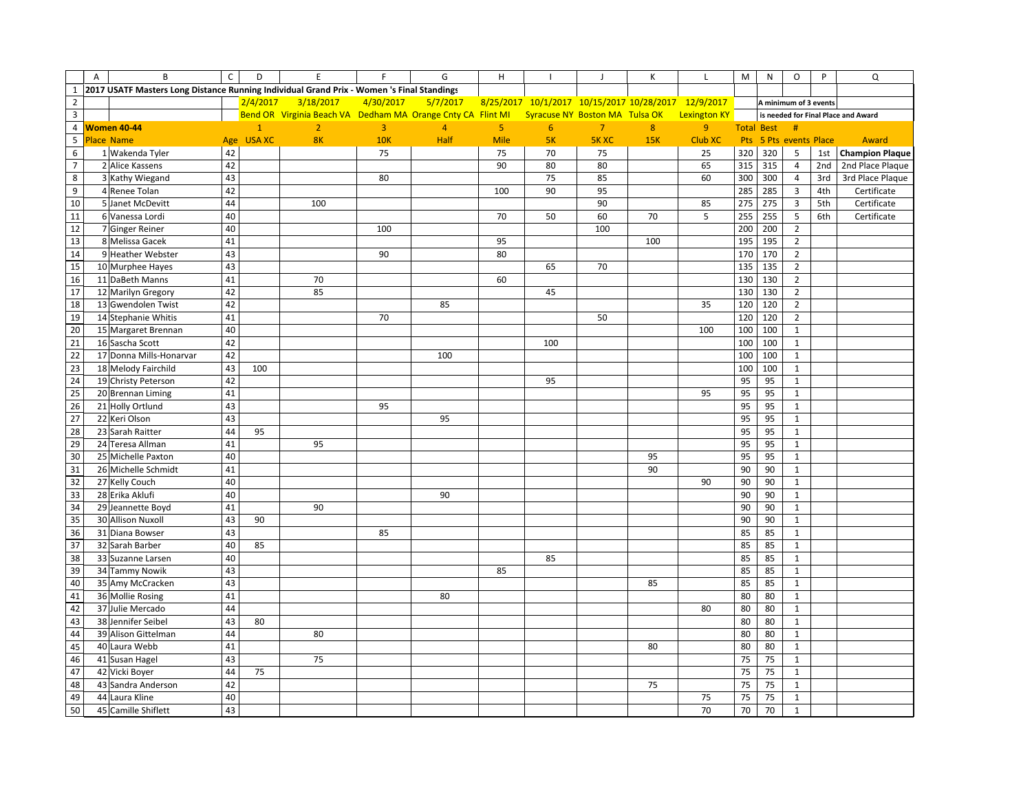|                | A | B                                                                                         | $\mathsf C$ | D            | E                                                           | F          | G              | H              |                                                     |                | К   | L                   | M   | N                 | $\circ$                | P   | Q                                   |
|----------------|---|-------------------------------------------------------------------------------------------|-------------|--------------|-------------------------------------------------------------|------------|----------------|----------------|-----------------------------------------------------|----------------|-----|---------------------|-----|-------------------|------------------------|-----|-------------------------------------|
| $\mathbf{1}$   |   | 2017 USATF Masters Long Distance Running Individual Grand Prix - Women 's Final Standings |             |              |                                                             |            |                |                |                                                     |                |     |                     |     |                   |                        |     |                                     |
| $\overline{2}$ |   |                                                                                           |             | 2/4/2017     | 3/18/2017                                                   | 4/30/2017  | 5/7/2017       |                | 8/25/2017 10/1/2017 10/15/2017 10/28/2017 12/9/2017 |                |     |                     |     |                   | A minimum of 3 events  |     |                                     |
| $\mathbf{3}$   |   |                                                                                           |             |              | Bend OR Virginia Beach VA Dedham MA Orange Cnty CA Flint MI |            |                |                | Syracuse NY Boston MA Tulsa OK                      |                |     | <b>Lexington KY</b> |     |                   |                        |     | is needed for Final Place and Award |
| $\overline{4}$ |   | Women 40-44                                                                               |             | $\mathbf{1}$ | $\overline{2}$                                              | 3          | $\overline{4}$ | 5 <sub>1</sub> | 6                                                   | $\overline{7}$ | 8   | 9                   |     | <b>Total Best</b> | #                      |     |                                     |
| 5              |   | <b>Place Name</b>                                                                         |             | Age USA XC   | 8K                                                          | <b>10K</b> | Half           | <b>Mile</b>    | 5K                                                  | <b>5K XC</b>   | 15K | <b>Club XC</b>      |     |                   | Pts 5 Pts events Place |     | Award                               |
| 6              |   | 1 Wakenda Tyler                                                                           | 42          |              |                                                             | 75         |                | 75             | 70                                                  | 75             |     | 25                  | 320 | 320               | 5                      | 1st | <b>Champion Plaque</b>              |
| $\overline{7}$ |   | 2 Alice Kassens                                                                           | 42          |              |                                                             |            |                | 90             | 80                                                  | 80             |     | 65                  | 315 | 315               | $\overline{4}$         | 2nd | 2nd Place Plaque                    |
| $\bf 8$        |   | 3 Kathy Wiegand                                                                           | 43          |              |                                                             | 80         |                |                | 75                                                  | 85             |     | 60                  | 300 | 300               | $\overline{4}$         | 3rd | 3rd Place Plaque                    |
| 9              |   | 4 Renee Tolan                                                                             | 42          |              |                                                             |            |                | 100            | 90                                                  | 95             |     |                     | 285 | 285               | $\overline{3}$         | 4th | Certificate                         |
| 10             |   | 5 Janet McDevitt                                                                          | 44          |              | 100                                                         |            |                |                |                                                     | 90             |     | 85                  | 275 | 275               | $\overline{3}$         | 5th | Certificate                         |
| 11             |   | 6 Vanessa Lordi                                                                           | 40          |              |                                                             |            |                | 70             | 50                                                  | 60             | 70  | 5                   | 255 | 255               | 5                      | 6th | Certificate                         |
| 12             |   | 7 Ginger Reiner                                                                           | 40          |              |                                                             | 100        |                |                |                                                     | 100            |     |                     | 200 | 200               | $\overline{2}$         |     |                                     |
| 13             |   | 8 Melissa Gacek                                                                           | 41          |              |                                                             |            |                | 95             |                                                     |                | 100 |                     | 195 | 195               | $\overline{2}$         |     |                                     |
| 14             |   | 9 Heather Webster                                                                         | 43          |              |                                                             | 90         |                | 80             |                                                     |                |     |                     | 170 | 170               | $\overline{2}$         |     |                                     |
| 15             |   | 10 Murphee Hayes                                                                          | 43          |              |                                                             |            |                |                | 65                                                  | 70             |     |                     | 135 | 135               | $\overline{2}$         |     |                                     |
| 16             |   | 11 DaBeth Manns                                                                           | 41          |              | 70                                                          |            |                | 60             |                                                     |                |     |                     | 130 | 130               | $\overline{2}$         |     |                                     |
| 17             |   | 12 Marilyn Gregory                                                                        | 42          |              | 85                                                          |            |                |                | 45                                                  |                |     |                     | 130 | 130               | $\overline{2}$         |     |                                     |
| 18             |   | 13 Gwendolen Twist                                                                        | 42          |              |                                                             |            | 85             |                |                                                     |                |     | 35                  | 120 | 120               | $\overline{2}$         |     |                                     |
| 19             |   | 14 Stephanie Whitis                                                                       | 41          |              |                                                             | 70         |                |                |                                                     | 50             |     |                     | 120 | 120               | $\overline{2}$         |     |                                     |
| 20             |   | 15 Margaret Brennan                                                                       | 40          |              |                                                             |            |                |                |                                                     |                |     | 100                 | 100 | 100               | $\mathbf{1}$           |     |                                     |
| 21             |   | 16 Sascha Scott                                                                           | 42          |              |                                                             |            |                |                | 100                                                 |                |     |                     | 100 | 100               | $\mathbf 1$            |     |                                     |
| 22             |   | 17 Donna Mills-Honarvar                                                                   | 42          |              |                                                             |            | 100            |                |                                                     |                |     |                     | 100 | 100               | $\mathbf{1}$           |     |                                     |
| 23             |   | 18 Melody Fairchild                                                                       | 43          | 100          |                                                             |            |                |                |                                                     |                |     |                     | 100 | 100               | $\mathbf 1$            |     |                                     |
| 24             |   | 19 Christy Peterson                                                                       | 42          |              |                                                             |            |                |                | 95                                                  |                |     |                     | 95  | 95                | $\mathbf{1}$           |     |                                     |
| 25             |   | 20 Brennan Liming                                                                         | 41          |              |                                                             |            |                |                |                                                     |                |     | 95                  | 95  | 95                | $\mathbf 1$            |     |                                     |
| 26             |   | 21 Holly Ortlund                                                                          | 43          |              |                                                             | 95         |                |                |                                                     |                |     |                     | 95  | 95                | $\mathbf{1}$           |     |                                     |
| 27             |   | 22 Keri Olson                                                                             | 43          |              |                                                             |            | 95             |                |                                                     |                |     |                     | 95  | 95                | $1\,$                  |     |                                     |
| 28             |   | 23 Sarah Raitter                                                                          | 44          | 95           |                                                             |            |                |                |                                                     |                |     |                     | 95  | 95                | $\mathbf 1$            |     |                                     |
| 29             |   | 24 Teresa Allman                                                                          | 41          |              | 95                                                          |            |                |                |                                                     |                |     |                     | 95  | 95                | $\mathbf{1}$           |     |                                     |
| 30             |   | 25 Michelle Paxton                                                                        | 40          |              |                                                             |            |                |                |                                                     |                | 95  |                     | 95  | 95                | $\mathbf 1$            |     |                                     |
| 31             |   | 26 Michelle Schmidt                                                                       | 41          |              |                                                             |            |                |                |                                                     |                | 90  |                     | 90  | 90                | $\mathbf{1}$           |     |                                     |
| 32             |   | 27 Kelly Couch                                                                            | 40          |              |                                                             |            |                |                |                                                     |                |     | 90                  | 90  | 90                | $\mathbf{1}$           |     |                                     |
| 33             |   | 28 Erika Aklufi                                                                           | 40          |              |                                                             |            | 90             |                |                                                     |                |     |                     | 90  | 90                | $\mathbf{1}$           |     |                                     |
| 34             |   | 29 Jeannette Boyd                                                                         | 41          |              | 90                                                          |            |                |                |                                                     |                |     |                     | 90  | 90                | $\mathbf 1$            |     |                                     |
| 35             |   | 30 Allison Nuxoll                                                                         | 43          | 90           |                                                             |            |                |                |                                                     |                |     |                     | 90  | 90                | $\mathbf{1}$           |     |                                     |
| 36             |   | 31 Diana Bowser                                                                           | 43          |              |                                                             | 85         |                |                |                                                     |                |     |                     | 85  | 85                | $\mathbf 1$            |     |                                     |
| 37             |   | 32 Sarah Barber                                                                           | 40          | 85           |                                                             |            |                |                |                                                     |                |     |                     | 85  | 85                | $\mathbf{1}$           |     |                                     |
| 38             |   | 33 Suzanne Larsen                                                                         | 40          |              |                                                             |            |                |                | 85                                                  |                |     |                     | 85  | 85                | $\mathbf 1$            |     |                                     |
| 39             |   | 34 Tammy Nowik                                                                            | 43          |              |                                                             |            |                | 85             |                                                     |                |     |                     | 85  | 85                | $\mathbf 1$            |     |                                     |
| 40             |   | 35 Amy McCracken                                                                          | 43          |              |                                                             |            |                |                |                                                     |                | 85  |                     | 85  | 85                | $1\,$                  |     |                                     |
| 41             |   | 36 Mollie Rosing                                                                          | 41          |              |                                                             |            | 80             |                |                                                     |                |     |                     | 80  | 80                | $\mathbf{1}$           |     |                                     |
| 42             |   | 37 Julie Mercado                                                                          | 44          |              |                                                             |            |                |                |                                                     |                |     | 80                  | 80  | 80                | $\mathbf{1}$           |     |                                     |
| 43             |   | 38 Jennifer Seibel                                                                        | 43          | 80           |                                                             |            |                |                |                                                     |                |     |                     | 80  | 80                | $\mathbf{1}$           |     |                                     |
| 44             |   | 39 Alison Gittelman                                                                       | 44          |              | 80                                                          |            |                |                |                                                     |                |     |                     | 80  | 80                | $\mathbf{1}$           |     |                                     |
| 45             |   | 40 Laura Webb                                                                             | 41          |              |                                                             |            |                |                |                                                     |                | 80  |                     | 80  | 80                | $\mathbf{1}$           |     |                                     |
| 46             |   | 41 Susan Hagel                                                                            | 43          |              | 75                                                          |            |                |                |                                                     |                |     |                     | 75  | 75                | $\mathbf{1}$           |     |                                     |
| 47             |   | 42 Vicki Boyer                                                                            | 44          | 75           |                                                             |            |                |                |                                                     |                |     |                     | 75  | 75                | $\mathbf 1$            |     |                                     |
| 48             |   | 43 Sandra Anderson                                                                        | 42          |              |                                                             |            |                |                |                                                     |                | 75  |                     | 75  | 75                | $\mathbf{1}$           |     |                                     |
| 49             |   | 44 Laura Kline                                                                            | 40          |              |                                                             |            |                |                |                                                     |                |     | 75                  | 75  | 75                | $\mathbf{1}$           |     |                                     |
| 50             |   | 45 Camille Shiflett                                                                       | 43          |              |                                                             |            |                |                |                                                     |                |     | 70                  | 70  | 70                | $\mathbf 1$            |     |                                     |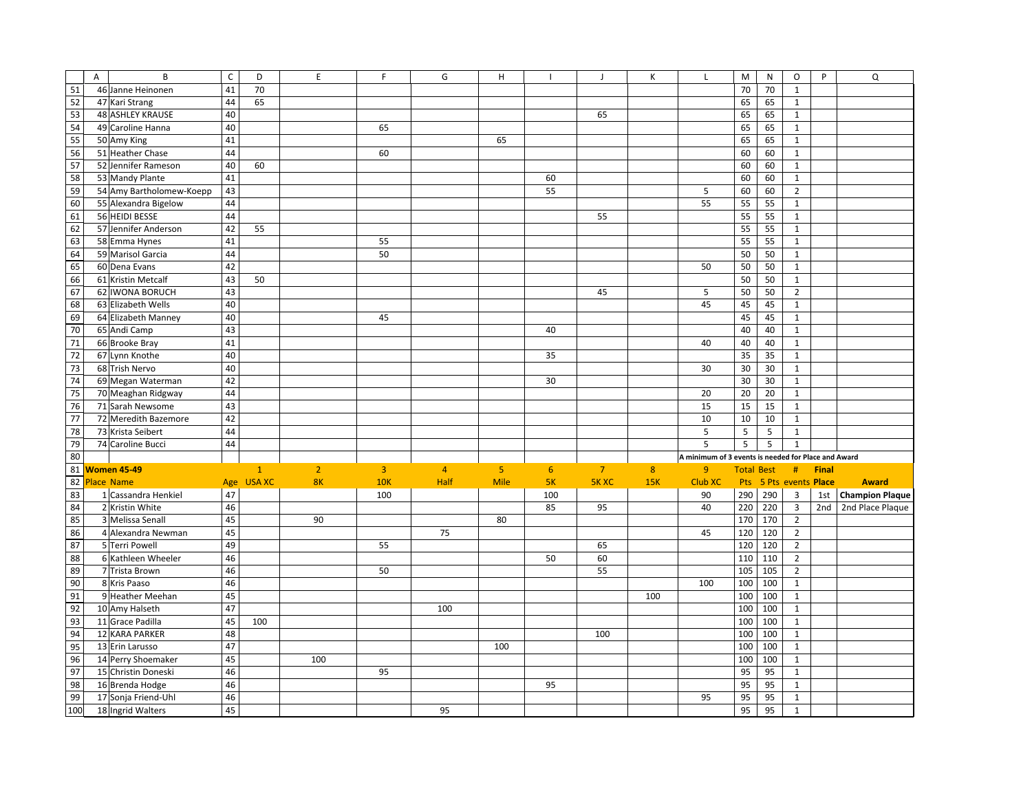|                 | $\overline{A}$ | B                        | $\mathsf{C}$ | D            | E              | F              | G              | н              | $\overline{\phantom{a}}$ | $\mathbf{J}$   | К            | L                                                   | M                 | ${\sf N}$ | O                      | P            | Q                      |
|-----------------|----------------|--------------------------|--------------|--------------|----------------|----------------|----------------|----------------|--------------------------|----------------|--------------|-----------------------------------------------------|-------------------|-----------|------------------------|--------------|------------------------|
| $\overline{51}$ |                | 46 Janne Heinonen        | 41           | 70           |                |                |                |                |                          |                |              |                                                     | 70                | 70        | $\mathbf{1}$           |              |                        |
| 52              |                | 47 Kari Strang           | 44           | 65           |                |                |                |                |                          |                |              |                                                     | 65                | 65        | $\mathbf{1}$           |              |                        |
| 53              |                | <b>48 ASHLEY KRAUSE</b>  | 40           |              |                |                |                |                |                          | 65             |              |                                                     | 65                | 65        | $\mathbf{1}$           |              |                        |
| 54              |                | 49 Caroline Hanna        | 40           |              |                | 65             |                |                |                          |                |              |                                                     | 65                | 65        | $\mathbf{1}$           |              |                        |
| 55              |                | 50 Amy King              | 41           |              |                |                |                | 65             |                          |                |              |                                                     | 65                | 65        | $\mathbf{1}$           |              |                        |
| 56              |                | 51 Heather Chase         | 44           |              |                | 60             |                |                |                          |                |              |                                                     | 60                | 60        | $\mathbf{1}$           |              |                        |
| 57              |                | 52 Jennifer Rameson      | 40           | 60           |                |                |                |                |                          |                |              |                                                     | 60                | 60        | $\mathbf 1$            |              |                        |
| 58              |                | 53 Mandy Plante          | 41           |              |                |                |                |                | 60                       |                |              |                                                     | 60                | 60        | $\mathbf{1}$           |              |                        |
| 59              |                | 54 Amy Bartholomew-Koepp | 43           |              |                |                |                |                | 55                       |                |              | 5                                                   | 60                | 60        | $\overline{2}$         |              |                        |
| 60              |                | 55 Alexandra Bigelow     | 44           |              |                |                |                |                |                          |                |              | 55                                                  | 55                | 55        | $\mathbf{1}$           |              |                        |
| 61              |                | 56 HEIDI BESSE           | 44           |              |                |                |                |                |                          | 55             |              |                                                     | 55                | 55        | $\mathbf{1}$           |              |                        |
| 62              |                | 57 Jennifer Anderson     | 42           | 55           |                |                |                |                |                          |                |              |                                                     | 55                | 55        | $\mathbf 1$            |              |                        |
| 63              |                | 58 Emma Hynes            | 41           |              |                | 55             |                |                |                          |                |              |                                                     | 55                | 55        | $\mathbf{1}$           |              |                        |
| 64              |                | 59 Marisol Garcia        | 44           |              |                | 50             |                |                |                          |                |              |                                                     | 50                | 50        | $\mathbf{1}$           |              |                        |
| 65              |                | 60 Dena Evans            | 42           |              |                |                |                |                |                          |                |              | 50                                                  | 50                | 50        | $\mathbf{1}$           |              |                        |
| 66              |                | 61 Kristin Metcalf       | 43           | 50           |                |                |                |                |                          |                |              |                                                     | 50                | 50        | $\mathbf{1}$           |              |                        |
| 67              |                | 62 IWONA BORUCH          | 43           |              |                |                |                |                |                          | 45             |              | 5                                                   | 50                | 50        | $\overline{2}$         |              |                        |
| 68              |                | 63 Elizabeth Wells       | 40           |              |                |                |                |                |                          |                |              | 45                                                  | 45                | 45        | $\mathbf{1}$           |              |                        |
| 69              |                | 64 Elizabeth Manney      | 40           |              |                | 45             |                |                |                          |                |              |                                                     | 45                | 45        | $\mathbf{1}$           |              |                        |
| 70              |                | 65 Andi Camp             | 43           |              |                |                |                |                | 40                       |                |              |                                                     | 40                | 40        | $\mathbf{1}$           |              |                        |
| 71              |                | 66 Brooke Bray           | 41           |              |                |                |                |                |                          |                |              | 40                                                  | 40                | 40        | $\mathbf{1}$           |              |                        |
| 72              |                | 67 Lynn Knothe           | 40           |              |                |                |                |                | 35                       |                |              |                                                     | 35                | 35        | $\mathbf 1$            |              |                        |
| 73              |                | 68 Trish Nervo           | 40           |              |                |                |                |                |                          |                |              | 30                                                  | 30                | 30        | $\mathbf{1}$           |              |                        |
| 74              |                | 69 Megan Waterman        | 42           |              |                |                |                |                | 30                       |                |              |                                                     | 30                | 30        | $\mathbf{1}$           |              |                        |
| 75              |                | 70 Meaghan Ridgway       | 44           |              |                |                |                |                |                          |                |              | 20                                                  | 20                | 20        | $\mathbf 1$            |              |                        |
| 76              |                | 71 Sarah Newsome         | 43           |              |                |                |                |                |                          |                |              | 15                                                  | 15                | 15        | $\mathbf{1}$           |              |                        |
| 77              |                | 72 Meredith Bazemore     | 42           |              |                |                |                |                |                          |                |              | 10                                                  | 10                | 10        | $\mathbf{1}$           |              |                        |
| 78              |                | 73 Krista Seibert        | 44           |              |                |                |                |                |                          |                |              | 5                                                   | 5                 | 5         | $\mathbf{1}$           |              |                        |
| 79              |                | 74 Caroline Bucci        | 44           |              |                |                |                |                |                          |                |              | 5                                                   | 5                 | 5         | $\mathbf 1$            |              |                        |
| 80              |                |                          |              |              |                |                |                |                |                          |                |              | A minimum of 3 events is needed for Place and Award |                   |           |                        |              |                        |
| 81              |                | Women 45-49              |              | $\mathbf{1}$ | $\overline{2}$ | $\overline{3}$ | $\overline{4}$ | 5 <sub>o</sub> | 6                        | $\overline{7}$ | $\mathbf{8}$ | $\overline{9}$                                      | <b>Total Best</b> |           | #                      | <b>Final</b> |                        |
| 82              |                | <b>Place Name</b>        |              | Age USA XC   | <b>8K</b>      | <b>10K</b>     | Half           | <b>Mile</b>    | 5K                       | <b>5K XC</b>   | 15K          | Club XC                                             |                   |           | Pts 5 Pts events Place |              | <b>Award</b>           |
| 83              |                | 1 Cassandra Henkiel      | 47           |              |                | 100            |                |                | 100                      |                |              | 90                                                  | 290               | 290       | $\overline{3}$         | 1st          | <b>Champion Plaque</b> |
| 84              |                | 2 Kristin White          | 46           |              |                |                |                |                | 85                       | 95             |              | 40                                                  | 220               | 220       | $\overline{3}$         | 2nd          | 2nd Place Plaque       |
| 85              |                | 3 Melissa Senall         | 45           |              | 90             |                |                | 80             |                          |                |              |                                                     | 170               | 170       | $\overline{2}$         |              |                        |
| 86              |                | 4 Alexandra Newman       | 45           |              |                |                | 75             |                |                          |                |              | 45                                                  | 120               | 120       | $\overline{2}$         |              |                        |
| 87              |                | 5 Terri Powell           | 49           |              |                | 55             |                |                |                          | 65             |              |                                                     | 120               | 120       | $\overline{2}$         |              |                        |
| 88              |                | 6 Kathleen Wheeler       | 46           |              |                |                |                |                | 50                       | 60             |              |                                                     | 110               | 110       | $\overline{2}$         |              |                        |
| 89              |                | 7 Trista Brown           | 46           |              |                | 50             |                |                |                          | 55             |              |                                                     | 105               | 105       | $\overline{2}$         |              |                        |
| 90              |                | 8 Kris Paaso             | 46           |              |                |                |                |                |                          |                |              | 100                                                 | 100               | 100       | $\mathbf{1}$           |              |                        |
| 91              |                | 9 Heather Meehan         | 45           |              |                |                |                |                |                          |                | 100          |                                                     | 100               | 100       | $\mathbf{1}$           |              |                        |
| 92              |                | 10 Amy Halseth           | 47           |              |                |                | 100            |                |                          |                |              |                                                     | 100               | 100       | $\mathbf{1}$           |              |                        |
| 93              |                | 11 Grace Padilla         | 45           | 100          |                |                |                |                |                          |                |              |                                                     | 100               | 100       | $\mathbf 1$            |              |                        |
| 94              |                | 12 KARA PARKER           | 48           |              |                |                |                |                |                          | 100            |              |                                                     | 100               | 100       | $\mathbf{1}$           |              |                        |
| 95              |                | 13 Erin Larusso          | 47           |              |                |                |                | 100            |                          |                |              |                                                     | 100               | 100       | $\mathbf 1$            |              |                        |
| 96              |                | 14 Perry Shoemaker       | 45           |              | 100            |                |                |                |                          |                |              |                                                     | 100               | 100       | $\mathbf{1}$           |              |                        |
| 97              |                | 15 Christin Doneski      | 46           |              |                | 95             |                |                |                          |                |              |                                                     | 95                | 95        | $\mathbf{1}$           |              |                        |
| 98              |                | 16 Brenda Hodge          | 46           |              |                |                |                |                | 95                       |                |              |                                                     | 95                | 95        | $\mathbf{1}$           |              |                        |
| 99              |                | 17 Sonja Friend-Uhl      | 46           |              |                |                |                |                |                          |                |              | 95                                                  | 95                | 95        | $\mathbf 1$            |              |                        |
| 100             |                | 18 Ingrid Walters        | 45           |              |                |                | 95             |                |                          |                |              |                                                     | 95                | 95        | $\mathbf 1$            |              |                        |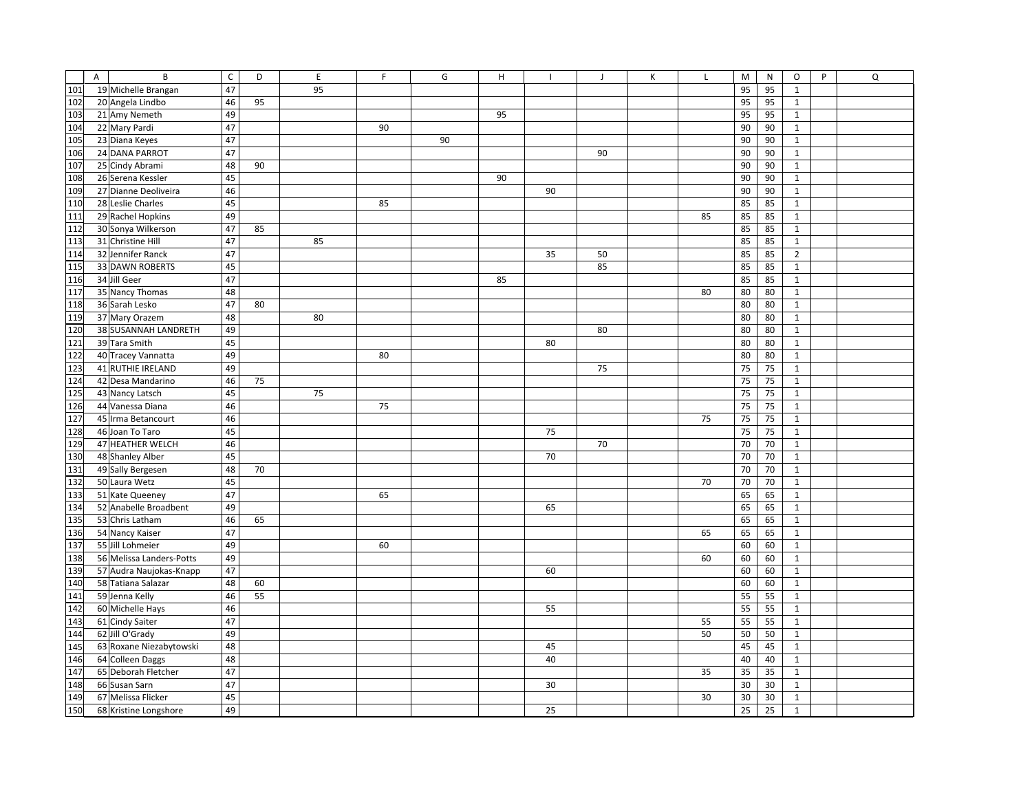|     | A | B                        | $\mathsf C$ | D  | E  | F  | G  | н  |    | $\mathsf J$ | К | $\mathsf L$ | M  | ${\sf N}$ | O              | P | Q |
|-----|---|--------------------------|-------------|----|----|----|----|----|----|-------------|---|-------------|----|-----------|----------------|---|---|
| 101 |   | 19 Michelle Brangan      | 47          |    | 95 |    |    |    |    |             |   |             | 95 | 95        | $\mathbf{1}$   |   |   |
| 102 |   | 20 Angela Lindbo         | 46          | 95 |    |    |    |    |    |             |   |             | 95 | 95        | $\mathbf{1}$   |   |   |
| 103 |   | 21 Amy Nemeth            | 49          |    |    |    |    | 95 |    |             |   |             | 95 | 95        | $\mathbf{1}$   |   |   |
| 104 |   | 22 Mary Pardi            | 47          |    |    | 90 |    |    |    |             |   |             | 90 | 90        | $\mathbf{1}$   |   |   |
| 105 |   | 23 Diana Keyes           | 47          |    |    |    | 90 |    |    |             |   |             | 90 | 90        | $\mathbf{1}$   |   |   |
| 106 |   | 24 DANA PARROT           | 47          |    |    |    |    |    |    | 90          |   |             | 90 | 90        | $\mathbf{1}$   |   |   |
| 107 |   | 25 Cindy Abrami          | 48          | 90 |    |    |    |    |    |             |   |             | 90 | 90        | $\mathbf{1}$   |   |   |
| 108 |   | 26 Serena Kessler        | 45          |    |    |    |    | 90 |    |             |   |             | 90 | 90        | $\mathbf 1$    |   |   |
| 109 |   | 27 Dianne Deoliveira     | 46          |    |    |    |    |    | 90 |             |   |             | 90 | 90        | $\mathbf{1}$   |   |   |
| 110 |   | 28 Leslie Charles        | 45          |    |    | 85 |    |    |    |             |   |             | 85 | 85        | $\mathbf{1}$   |   |   |
| 111 |   | 29 Rachel Hopkins        | 49          |    |    |    |    |    |    |             |   | 85          | 85 | 85        | $\mathbf 1$    |   |   |
| 112 |   | 30 Sonya Wilkerson       | 47          | 85 |    |    |    |    |    |             |   |             | 85 | 85        | $\mathbf 1$    |   |   |
| 113 |   | 31 Christine Hill        | 47          |    | 85 |    |    |    |    |             |   |             | 85 | 85        | $\mathbf{1}$   |   |   |
| 114 |   | 32 Jennifer Ranck        | 47          |    |    |    |    |    | 35 | 50          |   |             | 85 | 85        | $\overline{2}$ |   |   |
| 115 |   | 33 DAWN ROBERTS          | 45          |    |    |    |    |    |    | 85          |   |             | 85 | 85        | $\mathbf{1}$   |   |   |
| 116 |   | 34 Jill Geer             | 47          |    |    |    |    | 85 |    |             |   |             | 85 | 85        | $\mathbf{1}$   |   |   |
| 117 |   | 35 Nancy Thomas          | 48          |    |    |    |    |    |    |             |   | 80          | 80 | 80        | $\mathbf{1}$   |   |   |
| 118 |   | 36 Sarah Lesko           | 47          | 80 |    |    |    |    |    |             |   |             | 80 | 80        | $\mathbf{1}$   |   |   |
| 119 |   | 37 Mary Orazem           | 48          |    | 80 |    |    |    |    |             |   |             | 80 | 80        | $\mathbf{1}$   |   |   |
| 120 |   | 38 SUSANNAH LANDRETH     | 49          |    |    |    |    |    |    | 80          |   |             | 80 | 80        | $\mathbf{1}$   |   |   |
| 121 |   | 39 Tara Smith            | 45          |    |    |    |    |    | 80 |             |   |             | 80 | 80        | $\mathbf{1}$   |   |   |
| 122 |   | 40 Tracey Vannatta       | 49          |    |    | 80 |    |    |    |             |   |             | 80 | 80        | $\mathbf{1}$   |   |   |
| 123 |   | 41 RUTHIE IRELAND        | 49          |    |    |    |    |    |    | 75          |   |             | 75 | 75        | $\mathbf{1}$   |   |   |
| 124 |   | 42 Desa Mandarino        | 46          | 75 |    |    |    |    |    |             |   |             | 75 | 75        | $\mathbf 1$    |   |   |
| 125 |   | 43 Nancy Latsch          | 45          |    | 75 |    |    |    |    |             |   |             | 75 | 75        | $\mathbf 1$    |   |   |
| 126 |   | 44 Vanessa Diana         | 46          |    |    | 75 |    |    |    |             |   |             | 75 | 75        | $\mathbf 1$    |   |   |
| 127 |   | 45 Irma Betancourt       | 46          |    |    |    |    |    |    |             |   | 75          | 75 | 75        | $\mathbf{1}$   |   |   |
| 128 |   | 46 Joan To Taro          | 45          |    |    |    |    |    | 75 |             |   |             | 75 | 75        | $\mathbf{1}$   |   |   |
| 129 |   | 47 HEATHER WELCH         | 46          |    |    |    |    |    |    | 70          |   |             | 70 | 70        | $\mathbf{1}$   |   |   |
| 130 |   | 48 Shanley Alber         | 45          |    |    |    |    |    | 70 |             |   |             | 70 | 70        | $\mathbf{1}$   |   |   |
| 131 |   | 49 Sally Bergesen        | 48          | 70 |    |    |    |    |    |             |   |             | 70 | 70        | $\mathbf{1}$   |   |   |
| 132 |   | 50 Laura Wetz            | 45          |    |    |    |    |    |    |             |   | 70          | 70 | 70        | $\mathbf{1}$   |   |   |
| 133 |   | 51 Kate Queeney          | 47          |    |    | 65 |    |    |    |             |   |             | 65 | 65        | $\mathbf{1}$   |   |   |
| 134 |   | 52 Anabelle Broadbent    | 49          |    |    |    |    |    | 65 |             |   |             | 65 | 65        | $\mathbf{1}$   |   |   |
| 135 |   | 53 Chris Latham          | 46          | 65 |    |    |    |    |    |             |   |             | 65 | 65        | $\mathbf{1}$   |   |   |
| 136 |   | 54 Nancy Kaiser          | 47          |    |    |    |    |    |    |             |   | 65          | 65 | 65        | $\mathbf 1$    |   |   |
| 137 |   | 55 Jill Lohmeier         | 49          |    |    | 60 |    |    |    |             |   |             | 60 | 60        | $\mathbf{1}$   |   |   |
| 138 |   | 56 Melissa Landers-Potts | 49          |    |    |    |    |    |    |             |   | 60          | 60 | 60        | $\mathbf 1$    |   |   |
| 139 |   | 57 Audra Naujokas-Knapp  | 47          |    |    |    |    |    | 60 |             |   |             | 60 | 60        | $\mathbf{1}$   |   |   |
| 140 |   | 58 Tatiana Salazar       | 48          | 60 |    |    |    |    |    |             |   |             | 60 | 60        | $1\,$          |   |   |
| 141 |   | 59 Jenna Kelly           | 46          | 55 |    |    |    |    |    |             |   |             | 55 | 55        | $\mathbf{1}$   |   |   |
| 142 |   | 60 Michelle Hays         | 46          |    |    |    |    |    | 55 |             |   |             | 55 | 55        | $\mathbf{1}$   |   |   |
| 143 |   | 61 Cindy Saiter          | 47          |    |    |    |    |    |    |             |   | 55          | 55 | 55        | $\mathbf{1}$   |   |   |
| 144 |   | 62 Jill O'Grady          | 49          |    |    |    |    |    |    |             |   | 50          | 50 | 50        | $\mathbf{1}$   |   |   |
| 145 |   | 63 Roxane Niezabytowski  | 48          |    |    |    |    |    | 45 |             |   |             | 45 | 45        | $\mathbf{1}$   |   |   |
| 146 |   | 64 Colleen Daggs         | 48          |    |    |    |    |    | 40 |             |   |             | 40 | 40        | $\mathbf 1$    |   |   |
| 147 |   | 65 Deborah Fletcher      | 47          |    |    |    |    |    |    |             |   | 35          | 35 | 35        | $\mathbf{1}$   |   |   |
| 148 |   | 66 Susan Sarn            | 47          |    |    |    |    |    | 30 |             |   |             | 30 | 30        | $\mathbf 1$    |   |   |
| 149 |   | 67 Melissa Flicker       | 45          |    |    |    |    |    |    |             |   | 30          | 30 | 30        | $\mathbf 1$    |   |   |
| 150 |   | 68 Kristine Longshore    | 49          |    |    |    |    |    | 25 |             |   |             | 25 | 25        | $\mathbf 1$    |   |   |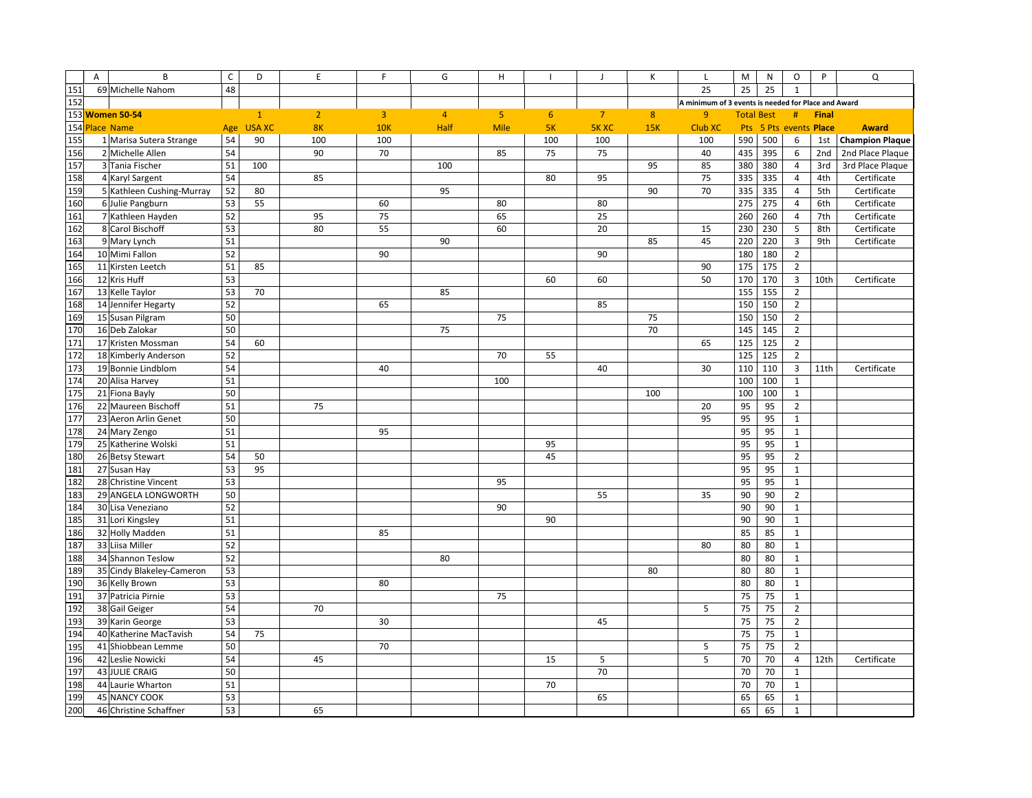|     | $\overline{A}$ | B                         | $\mathsf C$ | D             | $\mathsf E$    | F              | G              | H              |     | $\mathsf{J}$   | К   | L                                                   | M                 | N         | O                       | P            | Q                      |
|-----|----------------|---------------------------|-------------|---------------|----------------|----------------|----------------|----------------|-----|----------------|-----|-----------------------------------------------------|-------------------|-----------|-------------------------|--------------|------------------------|
| 151 |                | 69 Michelle Nahom         | 48          |               |                |                |                |                |     |                |     | 25                                                  | 25                | 25        | $\mathbf{1}$            |              |                        |
| 152 |                |                           |             |               |                |                |                |                |     |                |     | A minimum of 3 events is needed for Place and Award |                   |           |                         |              |                        |
|     |                | 153 Women 50-54           |             | $\mathbf{1}$  | $\overline{2}$ | $\overline{3}$ | $\overline{4}$ | 5 <sup>1</sup> | 6   | $\overline{7}$ | 8   | 9                                                   | <b>Total Best</b> |           | #                       | <b>Final</b> |                        |
|     |                | 154 Place Name            | Age         | <b>USA XC</b> | 8K             | <b>10K</b>     | Half           | <b>Mile</b>    | 5K  | <b>5K XC</b>   | 15K | <b>Club XC</b>                                      |                   | Pts 5 Pts | events Place            |              | <b>Award</b>           |
| 155 |                | 1 Marisa Sutera Strange   | 54          | 90            | 100            | 100            |                |                | 100 | 100            |     | 100                                                 | 590               | 500       | 6                       | 1st          | <b>Champion Plaque</b> |
| 156 |                | 2 Michelle Allen          | 54          |               | 90             | 70             |                | 85             | 75  | 75             |     | 40                                                  | 435               | 395       | 6                       | 2nd          | 2nd Place Plaque       |
| 157 |                | 3 Tania Fischer           | 51          | 100           |                |                | 100            |                |     |                | 95  | 85                                                  | 380               | 380       | $\overline{4}$          | 3rd          | 3rd Place Plaque       |
| 158 |                | 4 Karyl Sargent           | 54          |               | 85             |                |                |                | 80  | 95             |     | 75                                                  | 335               | 335       | $\overline{4}$          | 4th          | Certificate            |
| 159 |                | 5 Kathleen Cushing-Murray | 52          | 80            |                |                | 95             |                |     |                | 90  | 70                                                  | 335               | 335       | $\overline{4}$          | 5th          | Certificate            |
| 160 |                | 6 Julie Pangburn          | 53          | 55            |                | 60             |                | 80             |     | 80             |     |                                                     | 275               | 275       | $\overline{4}$          | 6th          | Certificate            |
| 161 |                | 7 Kathleen Hayden         | 52          |               | 95             | 75             |                | 65             |     | 25             |     |                                                     | 260               | 260       | $\overline{4}$          | 7th          | Certificate            |
| 162 |                | 8 Carol Bischoff          | 53          |               | 80             | 55             |                | 60             |     | 20             |     | 15                                                  | 230               | 230       | 5                       | 8th          | Certificate            |
| 163 |                | 9 Mary Lynch              | 51          |               |                |                | 90             |                |     |                | 85  | 45                                                  | 220               | 220       | $\overline{3}$          | 9th          | Certificate            |
| 164 |                | 10 Mimi Fallon            | 52          |               |                | 90             |                |                |     | 90             |     |                                                     | 180               | 180       | $\overline{2}$          |              |                        |
| 165 |                | 11 Kirsten Leetch         | 51          | 85            |                |                |                |                |     |                |     | 90                                                  | 175               | 175       | $\overline{2}$          |              |                        |
| 166 |                | 12 Kris Huff              | 53          |               |                |                |                |                | 60  | 60             |     | 50                                                  | 170               | 170       | $\overline{\mathbf{3}}$ | 10th         | Certificate            |
| 167 |                | 13 Kelle Taylor           | 53          | 70            |                |                | 85             |                |     |                |     |                                                     | 155               | 155       | $\overline{2}$          |              |                        |
| 168 |                | 14 Jennifer Hegarty       | 52          |               |                | 65             |                |                |     | 85             |     |                                                     | 150               | 150       | $\overline{2}$          |              |                        |
| 169 |                | 15 Susan Pilgram          | 50          |               |                |                |                | 75             |     |                | 75  |                                                     | 150               | 150       | $\overline{2}$          |              |                        |
| 170 |                | 16 Deb Zalokar            | 50          |               |                |                | 75             |                |     |                | 70  |                                                     | 145               | 145       | $\overline{2}$          |              |                        |
| 171 |                | 17 Kristen Mossman        | 54          | 60            |                |                |                |                |     |                |     | 65                                                  | 125               | 125       | $\overline{2}$          |              |                        |
| 172 |                | 18 Kimberly Anderson      | 52          |               |                |                |                | 70             | 55  |                |     |                                                     | 125               | 125       | $\overline{2}$          |              |                        |
| 173 |                | 19 Bonnie Lindblom        | 54          |               |                | 40             |                |                |     | 40             |     | 30                                                  | 110               | 110       | $\overline{\mathbf{3}}$ | 11th         | Certificate            |
| 174 |                | 20 Alisa Harvey           | 51          |               |                |                |                | 100            |     |                |     |                                                     | 100               | 100       | $\mathbf 1$             |              |                        |
| 175 |                | 21 Fiona Bayly            | 50          |               |                |                |                |                |     |                | 100 |                                                     | 100               | 100       | $\mathbf 1$             |              |                        |
| 176 |                | 22 Maureen Bischoff       | 51          |               | 75             |                |                |                |     |                |     | 20                                                  | 95                | 95        | $\overline{2}$          |              |                        |
| 177 |                | 23 Aeron Arlin Genet      | 50          |               |                |                |                |                |     |                |     | 95                                                  | 95                | 95        | $\mathbf{1}$            |              |                        |
| 178 |                | 24 Mary Zengo             | 51          |               |                | 95             |                |                |     |                |     |                                                     | 95                | 95        | $\mathbf{1}$            |              |                        |
| 179 |                | 25 Katherine Wolski       | 51          |               |                |                |                |                | 95  |                |     |                                                     | 95                | 95        | $\mathbf{1}$            |              |                        |
| 180 |                | 26 Betsy Stewart          | 54          | 50            |                |                |                |                | 45  |                |     |                                                     | 95                | 95        | $\overline{2}$          |              |                        |
| 181 |                | 27 Susan Hay              | 53          | 95            |                |                |                |                |     |                |     |                                                     | 95                | 95        | $\mathbf 1$             |              |                        |
| 182 |                | 28 Christine Vincent      | 53          |               |                |                |                | 95             |     |                |     |                                                     | 95                | 95        | $\mathbf{1}$            |              |                        |
| 183 |                | 29 ANGELA LONGWORTH       | 50          |               |                |                |                |                |     | 55             |     | 35                                                  | 90                | 90        | $\overline{2}$          |              |                        |
| 184 |                | 30 Lisa Veneziano         | 52          |               |                |                |                | 90             |     |                |     |                                                     | 90                | 90        | $\mathbf{1}$            |              |                        |
| 185 |                | 31 Lori Kingsley          | 51          |               |                |                |                |                | 90  |                |     |                                                     | 90                | 90        | $\mathbf{1}$            |              |                        |
| 186 |                | 32 Holly Madden           | 51          |               |                | 85             |                |                |     |                |     |                                                     | 85                | 85        | $\mathbf 1$             |              |                        |
| 187 |                | 33 Liisa Miller           | 52          |               |                |                |                |                |     |                |     | 80                                                  | 80                | 80        | $\mathbf 1$             |              |                        |
| 188 |                | 34 Shannon Teslow         | 52          |               |                |                | 80             |                |     |                |     |                                                     | 80                | 80        | $\mathbf{1}$            |              |                        |
| 189 |                | 35 Cindy Blakeley-Cameron | 53          |               |                |                |                |                |     |                | 80  |                                                     | 80                | 80        | $\mathbf{1}$            |              |                        |
| 190 |                | 36 Kelly Brown            | 53          |               |                | 80             |                |                |     |                |     |                                                     | 80                | 80        | $\mathbf{1}$            |              |                        |
| 191 |                | 37 Patricia Pirnie        | 53          |               |                |                |                | 75             |     |                |     |                                                     | 75                | 75        | $\mathbf 1$             |              |                        |
| 192 |                | 38 Gail Geiger            | 54          |               | 70             |                |                |                |     |                |     | 5                                                   | 75                | 75        | $\overline{2}$          |              |                        |
| 193 |                | 39 Karin George           | 53          |               |                | 30             |                |                |     | 45             |     |                                                     | 75                | 75        | $\overline{2}$          |              |                        |
| 194 |                | 40 Katherine MacTavish    | 54          | 75            |                |                |                |                |     |                |     |                                                     | 75                | 75        | $\mathbf{1}$            |              |                        |
| 195 |                | 41 Shiobbean Lemme        | 50          |               |                | 70             |                |                |     |                |     | 5                                                   | 75                | 75        | $\overline{2}$          |              |                        |
| 196 |                | 42 Leslie Nowicki         | 54          |               | 45             |                |                |                | 15  | 5              |     | 5                                                   | 70                | 70        | 4                       | 12th         | Certificate            |
| 197 |                | 43 JULIE CRAIG            | 50          |               |                |                |                |                |     | 70             |     |                                                     | 70                | 70        | $\mathbf 1$             |              |                        |
| 198 |                | 44 Laurie Wharton         | 51          |               |                |                |                |                | 70  |                |     |                                                     | 70                | 70        | $\mathbf{1}$            |              |                        |
| 199 |                | 45 NANCY COOK             | 53          |               |                |                |                |                |     | 65             |     |                                                     | 65                | 65        | $\mathbf 1$             |              |                        |
| 200 |                | 46 Christine Schaffner    | 53          |               | 65             |                |                |                |     |                |     |                                                     | 65                | 65        | $\mathbf 1$             |              |                        |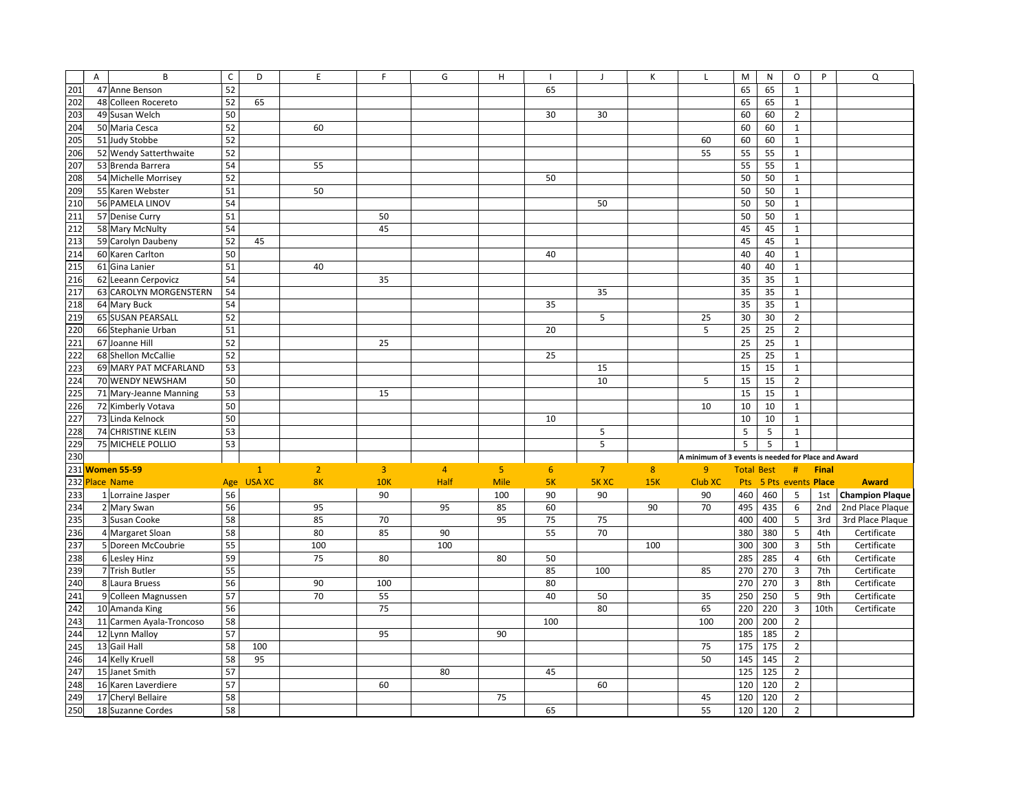|     | A | B                        | $\mathsf{C}$ | D            | E              | F              | G              | $\mathsf H$    |     | J              | Κ   | $\mathsf L$                                         | M                 | N                  | O                       | P            | Q                      |
|-----|---|--------------------------|--------------|--------------|----------------|----------------|----------------|----------------|-----|----------------|-----|-----------------------------------------------------|-------------------|--------------------|-------------------------|--------------|------------------------|
| 201 |   | 47 Anne Benson           | 52           |              |                |                |                |                | 65  |                |     |                                                     | 65                | 65                 | $\mathbf{1}$            |              |                        |
| 202 |   | 48 Colleen Rocereto      | 52           | 65           |                |                |                |                |     |                |     |                                                     | 65                | 65                 | $\mathbf{1}$            |              |                        |
| 203 |   | 49 Susan Welch           | 50           |              |                |                |                |                | 30  | 30             |     |                                                     | 60                | 60                 | $\overline{2}$          |              |                        |
| 204 |   | 50 Maria Cesca           | 52           |              | 60             |                |                |                |     |                |     |                                                     | 60                | 60                 | $1\,$                   |              |                        |
| 205 |   | 51 Judy Stobbe           | 52           |              |                |                |                |                |     |                |     | 60                                                  | 60                | 60                 | $\mathbf{1}$            |              |                        |
| 206 |   | 52 Wendy Satterthwaite   | 52           |              |                |                |                |                |     |                |     | 55                                                  | 55                | 55                 | $\mathbf{1}$            |              |                        |
| 207 |   | 53 Brenda Barrera        | 54           |              | 55             |                |                |                |     |                |     |                                                     | 55                | 55                 | $\mathbf 1$             |              |                        |
| 208 |   | 54 Michelle Morrisey     | 52           |              |                |                |                |                | 50  |                |     |                                                     | 50                | 50                 | $\mathbf{1}$            |              |                        |
| 209 |   | 55 Karen Webster         | 51           |              | 50             |                |                |                |     |                |     |                                                     | 50                | 50                 | $\mathbf 1$             |              |                        |
| 210 |   | 56 PAMELA LINOV          | 54           |              |                |                |                |                |     | 50             |     |                                                     | 50                | 50                 | $\mathbf{1}$            |              |                        |
| 211 |   | 57 Denise Curry          | 51           |              |                | 50             |                |                |     |                |     |                                                     | 50                | 50                 | $1\,$                   |              |                        |
| 212 |   | 58 Mary McNulty          | 54           |              |                | 45             |                |                |     |                |     |                                                     | 45                | 45                 | $1\,$                   |              |                        |
| 213 |   | 59 Carolyn Daubeny       | 52           | 45           |                |                |                |                |     |                |     |                                                     | 45                | 45                 | $\mathbf 1$             |              |                        |
| 214 |   | 60 Karen Carlton         | 50           |              |                |                |                |                | 40  |                |     |                                                     | 40                | 40                 | $\mathbf{1}$            |              |                        |
| 215 |   | 61 Gina Lanier           | 51           |              | 40             |                |                |                |     |                |     |                                                     | 40                | 40                 | $1\,$                   |              |                        |
| 216 |   | 62 Leeann Cerpovicz      | 54           |              |                | 35             |                |                |     |                |     |                                                     | 35                | 35                 | $\mathbf{1}$            |              |                        |
| 217 |   | 63 CAROLYN MORGENSTERN   | 54           |              |                |                |                |                |     | 35             |     |                                                     | 35                | 35                 | $1\,$                   |              |                        |
| 218 |   | 64 Mary Buck             | 54           |              |                |                |                |                | 35  |                |     |                                                     | 35                | 35                 | $\mathbf{1}$            |              |                        |
| 219 |   | 65 SUSAN PEARSALL        | 52           |              |                |                |                |                |     | 5              |     | 25                                                  | 30                | 30                 | $\overline{2}$          |              |                        |
| 220 |   | 66 Stephanie Urban       | 51           |              |                |                |                |                | 20  |                |     | 5                                                   | 25                | 25                 | $\overline{2}$          |              |                        |
| 221 |   | 67 Joanne Hill           | 52           |              |                | 25             |                |                |     |                |     |                                                     | $\overline{25}$   | 25                 | $1\,$                   |              |                        |
| 222 |   | 68 Shellon McCallie      | 52           |              |                |                |                |                | 25  |                |     |                                                     | 25                | 25                 | $\mathbf 1$             |              |                        |
| 223 |   | 69 MARY PAT MCFARLAND    | 53           |              |                |                |                |                |     | 15             |     |                                                     | 15                | 15                 | $\mathbf 1$             |              |                        |
| 224 |   | 70 WENDY NEWSHAM         | 50           |              |                |                |                |                |     | 10             |     | 5                                                   | 15                | 15                 | $\mathbf 2$             |              |                        |
| 225 |   | 71 Mary-Jeanne Manning   | 53           |              |                | 15             |                |                |     |                |     |                                                     | 15                | 15                 | $\mathbf 1$             |              |                        |
| 226 |   | 72 Kimberly Votava       | 50           |              |                |                |                |                |     |                |     | 10                                                  | 10                | 10                 | $\,1\,$                 |              |                        |
| 227 |   | 73 Linda Kelnock         | 50           |              |                |                |                |                | 10  |                |     |                                                     | 10                | 10                 | $\mathbf{1}$            |              |                        |
| 228 |   | 74 CHRISTINE KLEIN       | 53           |              |                |                |                |                |     | 5              |     |                                                     | 5                 | 5                  | $\mathbf{1}$            |              |                        |
| 229 |   | 75 MICHELE POLLIO        | 53           |              |                |                |                |                |     | 5              |     |                                                     | 5                 | 5                  | $\mathbf{1}$            |              |                        |
| 230 |   |                          |              |              |                |                |                |                |     |                |     | A minimum of 3 events is needed for Place and Award |                   |                    |                         |              |                        |
|     |   | 231 Women 55-59          |              | $\mathbf{1}$ | $\overline{2}$ | $\overline{3}$ | $\overline{4}$ | $\overline{5}$ | 6   | 7 <sup>7</sup> | 8   | 9                                                   | <b>Total Best</b> |                    | #                       | <b>Final</b> |                        |
|     |   | 232 Place Name           |              | Age USA XC   | 8K             | 10K            | Half           | <b>Mile</b>    | 5K  | <b>5K XC</b>   | 15K | Club XC                                             | Pts               | 5 Pts events Place |                         |              | <b>Award</b>           |
| 233 |   | 1 Lorraine Jasper        | 56           |              |                | 90             |                | 100            | 90  | 90             |     | 90                                                  | 460               | 460                | 5                       | 1st          | <b>Champion Plaque</b> |
| 234 |   | 2 Mary Swan              | 56           |              | 95             |                | 95             | 85             | 60  |                | 90  | 70                                                  | 495               | 435                | 6                       | 2nd          | 2nd Place Plaque       |
| 235 |   | 3 Susan Cooke            | 58           |              | 85             | 70             |                | 95             | 75  | 75             |     |                                                     | 400               | 400                | 5                       | 3rd          | 3rd Place Plaque       |
| 236 |   | 4 Margaret Sloan         | 58           |              | 80             | 85             | 90             |                | 55  | 70             |     |                                                     | 380               | 380                | 5                       | 4th          | Certificate            |
| 237 |   | 5 Doreen McCoubrie       | 55           |              | 100            |                | 100            |                |     |                | 100 |                                                     | 300               | 300                | $\overline{\mathbf{3}}$ | 5th          | Certificate            |
| 238 |   | 6 Lesley Hinz            | 59           |              | 75             | 80             |                | 80             | 50  |                |     |                                                     | 285               | 285                | $\overline{4}$          | 6th          | Certificate            |
| 239 |   | 7 Trish Butler           | 55           |              |                |                |                |                | 85  | 100            |     | 85                                                  | 270               | 270                | $\overline{\mathbf{3}}$ | 7th          | Certificate            |
| 240 |   | 8 Laura Bruess           | 56           |              | 90             | 100            |                |                | 80  |                |     |                                                     | 270               | 270                | $\overline{3}$          | 8th          | Certificate            |
| 241 |   | 9 Colleen Magnussen      | 57           |              | 70             | 55             |                |                | 40  | 50             |     | 35                                                  | 250               | 250                | 5                       | 9th          | Certificate            |
| 242 |   | 10 Amanda King           | 56           |              |                | 75             |                |                |     | 80             |     | 65                                                  | 220               | 220                | $\overline{3}$          | 10th         | Certificate            |
| 243 |   | 11 Carmen Ayala-Troncoso | 58           |              |                |                |                |                | 100 |                |     | 100                                                 | 200               | 200                | $\overline{2}$          |              |                        |
| 244 |   | 12 Lynn Malloy           | 57           |              |                | 95             |                | 90             |     |                |     |                                                     | 185               | 185                | $\overline{2}$          |              |                        |
| 245 |   | 13 Gail Hall             | 58           | 100          |                |                |                |                |     |                |     | 75                                                  | 175               | 175                | $\overline{2}$          |              |                        |
| 246 |   | 14 Kelly Kruell          | 58           | 95           |                |                |                |                |     |                |     | 50                                                  | 145               | 145                | $\overline{2}$          |              |                        |
| 247 |   | 15 Janet Smith           | 57           |              |                |                | 80             |                | 45  |                |     |                                                     | 125               | 125                | $\overline{2}$          |              |                        |
| 248 |   | 16 Karen Laverdiere      | 57           |              |                | 60             |                |                |     | 60             |     |                                                     | 120               | 120                | $\overline{2}$          |              |                        |
| 249 |   | 17 Cheryl Bellaire       | 58           |              |                |                |                | 75             |     |                |     | 45                                                  | 120               | 120                | $\mathbf 2$             |              |                        |
| 250 |   | 18 Suzanne Cordes        | 58           |              |                |                |                |                | 65  |                |     | 55                                                  | 120               | 120                | $\mathbf 2$             |              |                        |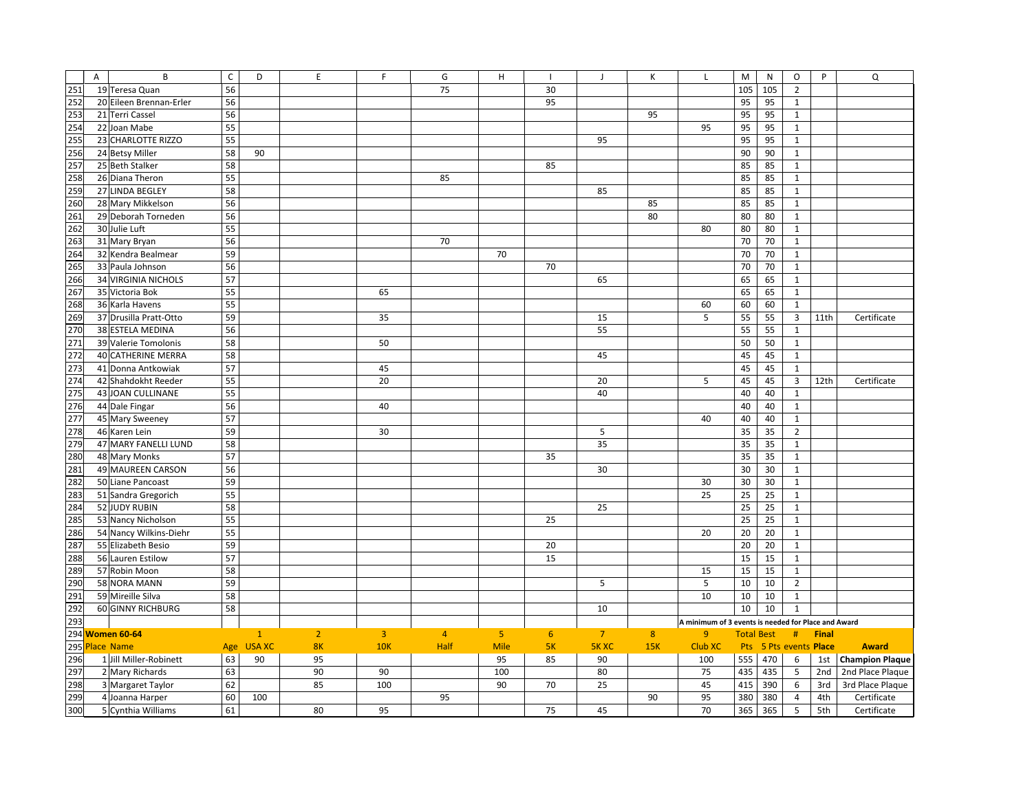|            | A | B                          | $\mathsf{C}$ | D             | E              | F              | G              | $\mathsf H$    |                | J              | Κ              | L                                                   | M                 | ${\sf N}$ | O                  | P            | Q                      |
|------------|---|----------------------------|--------------|---------------|----------------|----------------|----------------|----------------|----------------|----------------|----------------|-----------------------------------------------------|-------------------|-----------|--------------------|--------------|------------------------|
| 251        |   | 19 Teresa Quan             | 56           |               |                |                | 75             |                | 30             |                |                |                                                     | 105               | 105       | $\overline{2}$     |              |                        |
| 252        |   | 20 Eileen Brennan-Erler    | 56           |               |                |                |                |                | 95             |                |                |                                                     | 95                | 95        | $\mathbf{1}$       |              |                        |
| 253        |   | 21 Terri Cassel            | 56           |               |                |                |                |                |                |                | 95             |                                                     | 95                | 95        | $\mathbf{1}$       |              |                        |
| 254        |   | 22 Joan Mabe               | 55           |               |                |                |                |                |                |                |                | 95                                                  | 95                | 95        | $\mathbf{1}$       |              |                        |
| 255        |   | 23 CHARLOTTE RIZZO         | 55           |               |                |                |                |                |                | 95             |                |                                                     | 95                | 95        | $\mathbf{1}$       |              |                        |
| 256        |   | 24 Betsy Miller            | 58           | 90            |                |                |                |                |                |                |                |                                                     | 90                | 90        | $\mathbf{1}$       |              |                        |
| 257        |   | 25 Beth Stalker            | 58           |               |                |                |                |                | 85             |                |                |                                                     | 85                | 85        | $\mathbf{1}$       |              |                        |
| 258        |   | 26 Diana Theron            | 55           |               |                |                | 85             |                |                |                |                |                                                     | 85                | 85        | $\mathbf 1$        |              |                        |
| 259        |   | 27 LINDA BEGLEY            | 58           |               |                |                |                |                |                | 85             |                |                                                     | 85                | 85        | $\mathbf{1}$       |              |                        |
| 260        |   | 28 Mary Mikkelson          | 56           |               |                |                |                |                |                |                | 85             |                                                     | 85                | 85        | $\mathbf{1}$       |              |                        |
| 261        |   | 29 Deborah Torneden        | 56           |               |                |                |                |                |                |                | 80             |                                                     | 80                | 80        | $\mathbf{1}$       |              |                        |
| 262        |   | 30 Julie Luft              | 55           |               |                |                |                |                |                |                |                | 80                                                  | 80                | 80        | $\mathbf{1}$       |              |                        |
| 263        |   | 31 Mary Bryan              | 56           |               |                |                | 70             |                |                |                |                |                                                     | 70                | 70        | $\mathbf{1}$       |              |                        |
| 264        |   | 32 Kendra Bealmear         | 59           |               |                |                |                | 70             |                |                |                |                                                     | 70                | 70        | $\mathbf{1}$       |              |                        |
| 265        |   | 33 Paula Johnson           | 56           |               |                |                |                |                | 70             |                |                |                                                     | 70                | 70        | $\mathbf 1$        |              |                        |
| 266        |   | <b>34 VIRGINIA NICHOLS</b> | 57           |               |                |                |                |                |                | 65             |                |                                                     | 65                | 65        | $\mathbf{1}$       |              |                        |
| 267        |   | 35 Victoria Bok            | 55           |               |                | 65             |                |                |                |                |                |                                                     | 65                | 65        | $\mathbf{1}$       |              |                        |
| 268        |   | 36 Karla Havens            | 55           |               |                |                |                |                |                |                |                | 60                                                  | 60                | 60        | $\mathbf{1}$       |              |                        |
| 269        |   | 37 Drusilla Pratt-Otto     | 59           |               |                | 35             |                |                |                | 15             |                | 5                                                   | 55                | 55        | $\overline{3}$     | 11th         | Certificate            |
| 270        |   | 38 ESTELA MEDINA           | 56           |               |                |                |                |                |                | 55             |                |                                                     | 55                | 55        | $\mathbf{1}$       |              |                        |
| 271        |   | 39 Valerie Tomolonis       | 58           |               |                | 50             |                |                |                |                |                |                                                     | 50                | 50        | $\mathbf{1}$       |              |                        |
| 272        |   | 40 CATHERINE MERRA         | 58           |               |                |                |                |                |                | 45             |                |                                                     | 45                | 45        | $\mathbf{1}$       |              |                        |
| 273        |   | 41 Donna Antkowiak         | 57           |               |                | 45             |                |                |                |                |                |                                                     | 45                | 45        | $\mathbf 1$        |              |                        |
| 274        |   | 42 Shahdokht Reeder        | 55           |               |                | 20             |                |                |                | 20             |                | 5                                                   | 45                | 45        | 3                  | 12th         | Certificate            |
| 275        |   | 43 JOAN CULLINANE          | 55           |               |                |                |                |                |                | 40             |                |                                                     | 40                | 40        | $\mathbf{1}$       |              |                        |
| 276        |   | 44 Dale Fingar             | 56           |               |                | 40             |                |                |                |                |                |                                                     | 40                | 40        | $\mathbf{1}$       |              |                        |
| 277        |   | 45 Mary Sweeney            | 57           |               |                |                |                |                |                |                |                | 40                                                  | 40                | 40        | $\mathbf{1}$       |              |                        |
| 278        |   | 46 Karen Lein              | 59           |               |                | 30             |                |                |                | 5              |                |                                                     | 35                | 35        | $\overline{2}$     |              |                        |
| 279        |   | 47 MARY FANELLI LUND       | 58           |               |                |                |                |                |                | 35             |                |                                                     | 35                | 35        | $\mathbf{1}$       |              |                        |
| 280        |   | 48 Mary Monks              | 57           |               |                |                |                |                | 35             |                |                |                                                     | 35                | 35        | $\mathbf{1}$       |              |                        |
| 281        |   | 49 MAUREEN CARSON          | 56           |               |                |                |                |                |                |                |                |                                                     | 30                |           | $\mathbf{1}$       |              |                        |
| 282        |   |                            | 59           |               |                |                |                |                |                | 30             |                |                                                     | 30                | 30        |                    |              |                        |
| 283        |   | 50 Liane Pancoast          |              |               |                |                |                |                |                |                |                | 30<br>25                                            |                   | 30        | $\mathbf{1}$       |              |                        |
|            |   | 51 Sandra Gregorich        | 55           |               |                |                |                |                |                |                |                |                                                     | 25                | 25        | $\mathbf{1}$       |              |                        |
| 284        |   | 52 JUDY RUBIN              | 58           |               |                |                |                |                |                | 25             |                |                                                     | 25                | 25        | $\mathbf{1}$       |              |                        |
| 285        |   | 53 Nancy Nicholson         | 55           |               |                |                |                |                | 25             |                |                |                                                     | 25                | 25        | $\mathbf{1}$       |              |                        |
| 286        |   | 54 Nancy Wilkins-Diehr     | 55           |               |                |                |                |                |                |                |                | 20                                                  | 20                | 20        | $\mathbf{1}$       |              |                        |
| 287        |   | 55 Elizabeth Besio         | 59           |               |                |                |                |                | 20             |                |                |                                                     | 20                | 20        | $\mathbf{1}$       |              |                        |
| 288        |   | 56 Lauren Estilow          | 57           |               |                |                |                |                | 15             |                |                |                                                     | 15                | 15        | $\mathbf{1}$       |              |                        |
| <b>289</b> |   | 57 Robin Moon              | 58           |               |                |                |                |                |                |                |                | 15                                                  | 15                | 15        | $\mathbf{1}$       |              |                        |
| 290        |   | 58 NORA MANN               | 59           |               |                |                |                |                |                | 5              |                | 5                                                   | 10                | 10        | $\overline{2}$     |              |                        |
| 291        |   | 59 Mireille Silva          | 58           |               |                |                |                |                |                |                |                | 10                                                  | $10\,$            | 10        | $\mathbf{1}$       |              |                        |
| 292        |   | 60 GINNY RICHBURG          | 58           |               |                |                |                |                |                | 10             |                |                                                     | 10                | 10        | $\mathbf{1}$       |              |                        |
| 293        |   |                            |              |               |                |                |                |                |                |                |                | A minimum of 3 events is needed for Place and Award |                   |           |                    |              |                        |
|            |   | 294 Women 60-64            |              | $\mathbf{1}$  | $\overline{2}$ | $\overline{3}$ | $\overline{4}$ | $\overline{5}$ | 6 <sup>1</sup> | $\overline{7}$ | 8 <sup>°</sup> | 9                                                   | <b>Total Best</b> |           | #                  | <b>Final</b> |                        |
|            |   | 295 Place Name             | Age          | <b>USA XC</b> | 8K             | <b>10K</b>     | Half           | <b>Mile</b>    | 5K             | <b>5K XC</b>   | 15K            | Club XC                                             | Pts               |           | 5 Pts events Place |              | <b>Award</b>           |
| 296        |   | 1 Jill Miller-Robinett     | 63           | 90            | 95             |                |                | 95             | 85             | 90             |                | 100                                                 | 555               | 470       | 6                  | 1st          | <b>Champion Plaque</b> |
| 297        |   | 2 Mary Richards            | 63           |               | 90             | 90             |                | 100            |                | 80             |                | 75                                                  | 435               | 435       | 5                  | 2nd          | 2nd Place Plaque       |
| 298        |   | 3 Margaret Taylor          | 62           |               | 85             | 100            |                | 90             | 70             | 25             |                | 45                                                  | 415               | 390       | 6                  | 3rd          | 3rd Place Plaque       |
| 299        |   | 4 Joanna Harper            | 60           | 100           |                |                | 95             |                |                |                | 90             | 95                                                  | 380               | 380       | $\overline{4}$     | 4th          | Certificate            |
| 300        |   | 5 Cynthia Williams         | 61           |               | 80             | 95             |                |                | 75             | 45             |                | 70                                                  | 365               | 365       | 5                  | 5th          | Certificate            |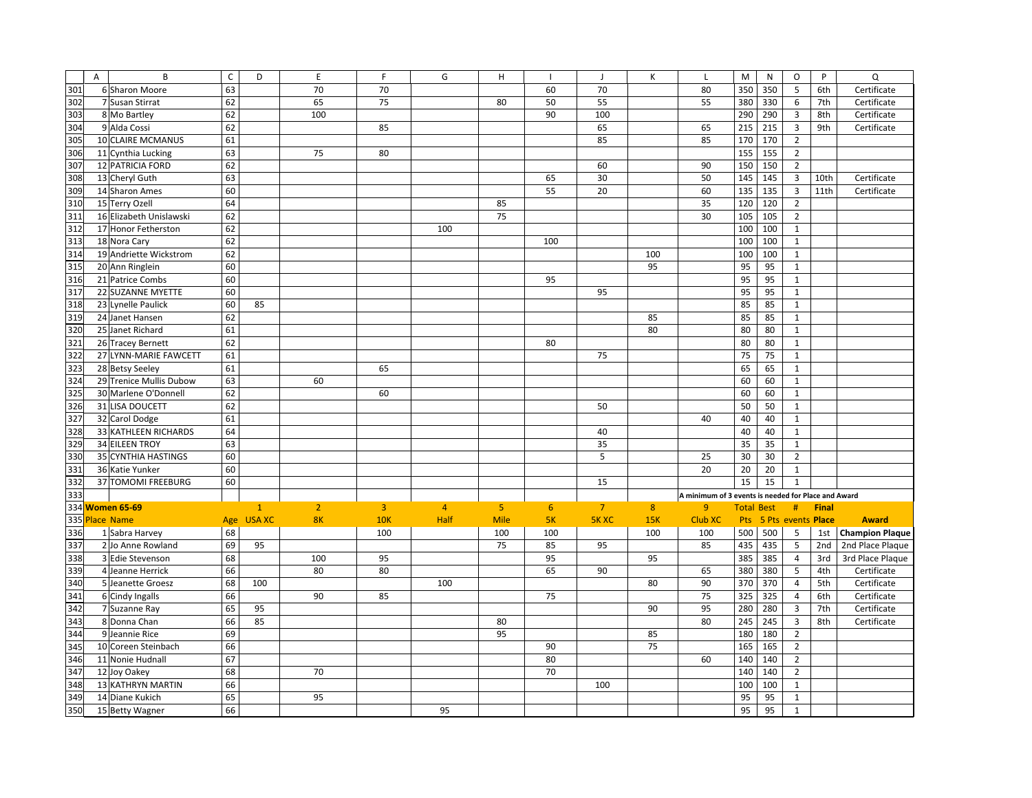|     | A | B                       | $\mathsf{C}$ | D            | E              | F              | G              | H              |     | - 1            | К              | L                                                   | M                 | N   | O                       | P            | Q                      |
|-----|---|-------------------------|--------------|--------------|----------------|----------------|----------------|----------------|-----|----------------|----------------|-----------------------------------------------------|-------------------|-----|-------------------------|--------------|------------------------|
| 301 |   | 6 Sharon Moore          | 63           |              | 70             | 70             |                |                | 60  | 70             |                | 80                                                  | 350               | 350 | 5                       | 6th          | Certificate            |
| 302 |   | 7 Susan Stirrat         | 62           |              | 65             | 75             |                | 80             | 50  | 55             |                | 55                                                  | 380               | 330 | 6                       | 7th          | Certificate            |
| 303 |   | 8 Mo Bartley            | 62           |              | 100            |                |                |                | 90  | 100            |                |                                                     | 290               | 290 | $\overline{3}$          | 8th          | Certificate            |
| 304 |   | 9 Alda Cossi            | 62           |              |                | 85             |                |                |     | 65             |                | 65                                                  | 215               | 215 | 3                       | 9th          | Certificate            |
| 305 |   | 10 CLAIRE MCMANUS       | 61           |              |                |                |                |                |     | 85             |                | 85                                                  | 170               | 170 | $\mathbf 2$             |              |                        |
| 306 |   | 11 Cynthia Lucking      | 63           |              | 75             | 80             |                |                |     |                |                |                                                     | 155               | 155 | $\overline{2}$          |              |                        |
| 307 |   | 12 PATRICIA FORD        | 62           |              |                |                |                |                |     | 60             |                | 90                                                  | 150               | 150 | $\overline{2}$          |              |                        |
| 308 |   | 13 Cheryl Guth          | 63           |              |                |                |                |                | 65  | 30             |                | 50                                                  | 145               | 145 | $\overline{\mathbf{3}}$ | 10th         | Certificate            |
| 309 |   | 14 Sharon Ames          | 60           |              |                |                |                |                | 55  | 20             |                | 60                                                  | 135               | 135 | $\overline{\mathbf{3}}$ | 11th         | Certificate            |
| 310 |   | 15 Terry Ozell          | 64           |              |                |                |                | 85             |     |                |                | 35                                                  | 120               | 120 | $\overline{2}$          |              |                        |
| 311 |   | 16 Elizabeth Unislawski | 62           |              |                |                |                | 75             |     |                |                | 30                                                  | 105               | 105 | $\overline{2}$          |              |                        |
| 312 |   | 17 Honor Fetherston     | 62           |              |                |                | 100            |                |     |                |                |                                                     | 100               | 100 | $\mathbf 1$             |              |                        |
| 313 |   | 18 Nora Cary            | 62           |              |                |                |                |                | 100 |                |                |                                                     | 100               | 100 | $\mathbf{1}$            |              |                        |
| 314 |   | 19 Andriette Wickstrom  | 62           |              |                |                |                |                |     |                | 100            |                                                     | 100               | 100 | $\mathbf 1$             |              |                        |
| 315 |   | 20 Ann Ringlein         | 60           |              |                |                |                |                |     |                | 95             |                                                     | 95                | 95  | $\mathbf{1}$            |              |                        |
| 316 |   | 21 Patrice Combs        | 60           |              |                |                |                |                | 95  |                |                |                                                     | 95                | 95  | $\mathbf{1}$            |              |                        |
| 317 |   | 22 SUZANNE MYETTE       | 60           |              |                |                |                |                |     | 95             |                |                                                     | 95                | 95  | $\mathbf{1}$            |              |                        |
| 318 |   | 23 Lynelle Paulick      | 60           | 85           |                |                |                |                |     |                |                |                                                     | 85                | 85  | $\mathbf 1$             |              |                        |
| 319 |   | 24 Janet Hansen         | 62           |              |                |                |                |                |     |                | 85             |                                                     | 85                | 85  | $\mathbf 1$             |              |                        |
| 320 |   | 25 Janet Richard        | 61           |              |                |                |                |                |     |                | 80             |                                                     | 80                | 80  | $\mathbf{1}$            |              |                        |
| 321 |   | 26 Tracey Bernett       | 62           |              |                |                |                |                | 80  |                |                |                                                     | 80                | 80  | $\mathbf 1$             |              |                        |
| 322 |   | 27 LYNN-MARIE FAWCETT   | 61           |              |                |                |                |                |     | 75             |                |                                                     | 75                | 75  | $\,1\,$                 |              |                        |
| 323 |   | 28 Betsy Seeley         | 61           |              |                | 65             |                |                |     |                |                |                                                     | 65                | 65  | $\mathbf 1$             |              |                        |
| 324 |   | 29 Trenice Mullis Dubow | 63           |              | 60             |                |                |                |     |                |                |                                                     | 60                | 60  | $\mathbf 1$             |              |                        |
| 325 |   | 30 Marlene O'Donnell    | 62           |              |                | 60             |                |                |     |                |                |                                                     | 60                | 60  | $1\,$                   |              |                        |
| 326 |   | 31 LISA DOUCETT         | 62           |              |                |                |                |                |     | 50             |                |                                                     | 50                | 50  | $\mathbf 1$             |              |                        |
| 327 |   | 32 Carol Dodge          | 61           |              |                |                |                |                |     |                |                | 40                                                  | 40                | 40  | $\mathbf 1$             |              |                        |
| 328 |   | 33 KATHLEEN RICHARDS    | 64           |              |                |                |                |                |     | 40             |                |                                                     | 40                | 40  | $\mathbf 1$             |              |                        |
| 329 |   | <b>34 EILEEN TROY</b>   | 63           |              |                |                |                |                |     | 35             |                |                                                     | 35                | 35  | $\mathbf{1}$            |              |                        |
| 330 |   | 35 CYNTHIA HASTINGS     | 60           |              |                |                |                |                |     | 5              |                | 25                                                  | 30                | 30  | $\overline{2}$          |              |                        |
| 331 |   | 36 Katie Yunker         | 60           |              |                |                |                |                |     |                |                | 20                                                  | 20                | 20  | $\mathbf{1}$            |              |                        |
| 332 |   | 37 TOMOMI FREEBURG      | 60           |              |                |                |                |                |     | 15             |                |                                                     | 15                | 15  | $\mathbf{1}$            |              |                        |
| 333 |   |                         |              |              |                |                |                |                |     |                |                | A minimum of 3 events is needed for Place and Award |                   |     |                         |              |                        |
|     |   | 334 Women 65-69         |              | $\mathbf{1}$ | $\overline{2}$ | $\overline{3}$ | $\overline{4}$ | $\overline{5}$ | 6   | $\overline{7}$ | 8 <sup>°</sup> | $\mathbf{q}$                                        | <b>Total Best</b> |     | #                       | <b>Final</b> |                        |
|     |   | 335 Place Name          | Age          | USA XC       | 8K             | <b>10K</b>     | Half           | <b>Mile</b>    | 5K  | <b>5K XC</b>   | 15K            | Club XC                                             |                   |     | Pts 5 Pts events Place  |              | <b>Award</b>           |
| 336 |   | 1 Sabra Harvey          | 68           |              |                | 100            |                | 100            | 100 |                | 100            | 100                                                 | 500               | 500 | 5                       | 1st          | <b>Champion Plaque</b> |
| 337 |   | 2 Jo Anne Rowland       | 69           | 95           |                |                |                | 75             | 85  | 95             |                | 85                                                  | 435               | 435 | 5                       | 2nd          | 2nd Place Plaque       |
| 338 |   | 3 Edie Stevenson        | 68           |              | 100            | 95             |                |                | 95  |                | 95             |                                                     | 385               | 385 | $\overline{4}$          | 3rd          | 3rd Place Plaque       |
| 339 |   | 4 Jeanne Herrick        | 66           |              | 80             | 80             |                |                | 65  | 90             |                | 65                                                  | 380               | 380 | 5                       | 4th          | Certificate            |
| 340 |   | 5 Jeanette Groesz       | 68           | 100          |                |                | 100            |                |     |                | 80             | 90                                                  | 370               | 370 | $\overline{\mathbf{4}}$ | 5th          | Certificate            |
| 341 |   | 6 Cindy Ingalls         | 66           |              | 90             | 85             |                |                | 75  |                |                | 75                                                  | 325               | 325 | $\overline{4}$          | 6th          | Certificate            |
| 342 |   | 7 Suzanne Ray           | 65           | 95           |                |                |                |                |     |                | 90             | 95                                                  | 280               | 280 | 3                       | 7th          | Certificate            |
| 343 |   | 8 Donna Chan            | 66           | 85           |                |                |                | 80             |     |                |                | 80                                                  | 245               | 245 | $\overline{3}$          | 8th          | Certificate            |
| 344 |   | 9 Jeannie Rice          | 69           |              |                |                |                | 95             |     |                | 85             |                                                     | 180               | 180 | $\overline{2}$          |              |                        |
| 345 |   | 10 Coreen Steinbach     | 66           |              |                |                |                |                | 90  |                | 75             |                                                     | 165               | 165 | $\overline{2}$          |              |                        |
| 346 |   | 11 Nonie Hudnall        | 67           |              |                |                |                |                | 80  |                |                | 60                                                  | 140               | 140 | $\overline{2}$          |              |                        |
| 347 |   | 12 Joy Oakey            | 68           |              | 70             |                |                |                | 70  |                |                |                                                     | 140               | 140 | $\overline{2}$          |              |                        |
| 348 |   | 13 KATHRYN MARTIN       | 66           |              |                |                |                |                |     | 100            |                |                                                     | 100               | 100 | $\mathbf{1}$            |              |                        |
| 349 |   | 14 Diane Kukich         | 65           |              | 95             |                |                |                |     |                |                |                                                     | 95                | 95  | $1\,$                   |              |                        |
| 350 |   | 15 Betty Wagner         | 66           |              |                |                | 95             |                |     |                |                |                                                     | 95                | 95  | $1\,$                   |              |                        |